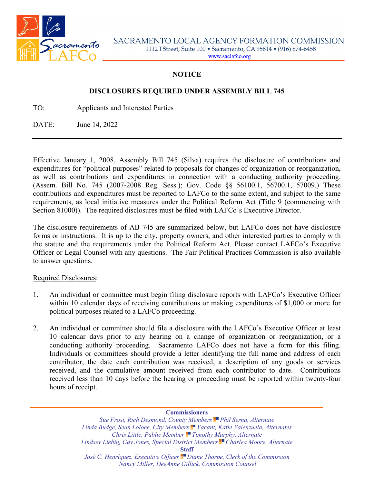

## **NOTICE**

## **DISCLOSURES REQUIRED UNDER ASSEMBLY BILL 745**

TO: Applicants and Interested Parties

DATE: June 14, 2022

Effective January 1, 2008, Assembly Bill 745 (Silva) requires the disclosure of contributions and expenditures for "political purposes" related to proposals for changes of organization or reorganization, as well as contributions and expenditures in connection with a conducting authority proceeding. (Assem. Bill No. 745 (2007-2008 Reg. Sess.); Gov. Code §§ 56100.1, 56700.1, 57009.) These contributions and expenditures must be reported to LAFCo to the same extent, and subject to the same requirements, as local initiative measures under the Political Reform Act (Title 9 (commencing with Section 81000)). The required disclosures must be filed with LAFCo's Executive Director.

The disclosure requirements of AB 745 are summarized below, but LAFCo does not have disclosure forms or instructions. It is up to the city, property owners, and other interested parties to comply with the statute and the requirements under the Political Reform Act. Please contact LAFCo's Executive Officer or Legal Counsel with any questions. The Fair Political Practices Commission is also available to answer questions.

## Required Disclosures:

- 1. An individual or committee must begin filing disclosure reports with LAFCo's Executive Officer within 10 calendar days of receiving contributions or making expenditures of \$1,000 or more for political purposes related to a LAFCo proceeding.
- 2. An individual or committee should file a disclosure with the LAFCo's Executive Officer at least 10 calendar days prior to any hearing on a change of organization or reorganization, or a conducting authority proceeding. Sacramento LAFCo does not have a form for this filing. Individuals or committees should provide a letter identifying the full name and address of each contributor, the date each contribution was received, a description of any goods or services received, and the cumulative amount received from each contributor to date. Contributions received less than 10 days before the hearing or proceeding must be reported within twenty-four hours of receipt.

**Commissioners**

*Sue Frost, Rich Desmond, County Members Phil Serna, Alternate Linda Budge, Sean Loloee, City Members Vacant, Katie Valenzuela, Alternates Chris Little, Public Member Timothy Murphy, Alternate* Lindsey Liebig, Gay Jones, Special District Members<sup>1</sup> Charlea Moore, Alternate **Staff** *José C. Henríquez, Executive Officer Diane Thorpe, Clerk of the Commission Nancy Miller, DeeAnne Gillick, Commission Counsel*